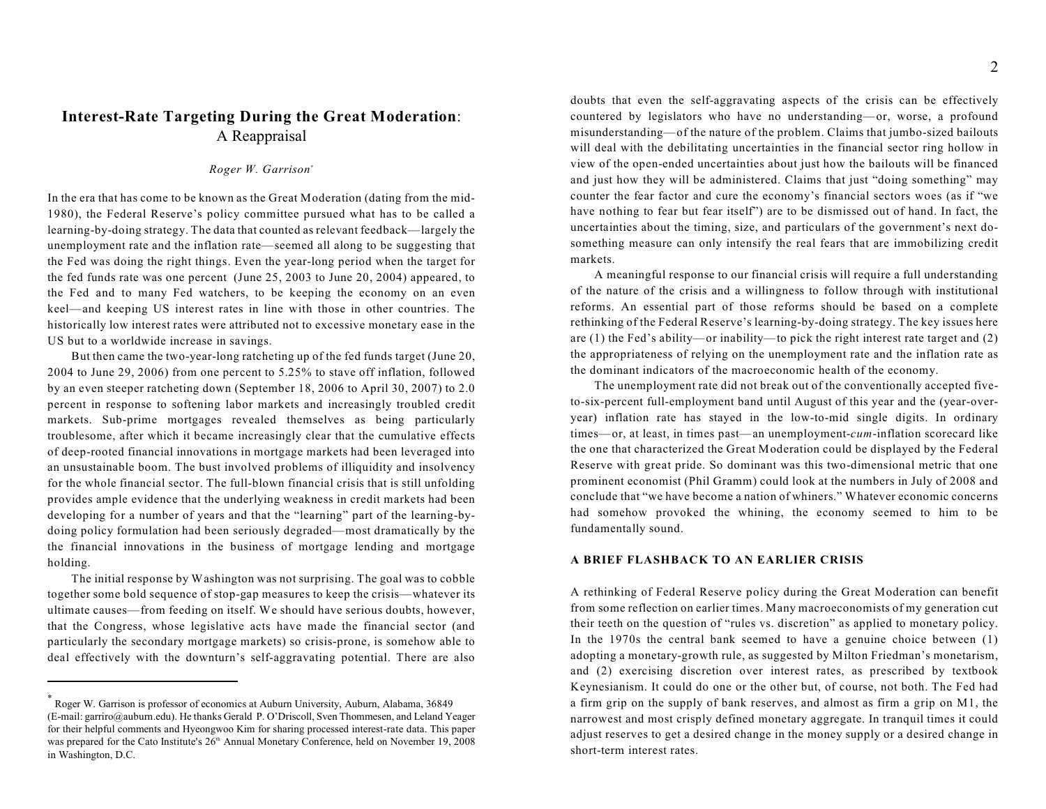# **Interest-Rate Targeting During the Great Moderation**: A Reappraisal

# *Roger W. Garrison*\*

In the era that has come to be known as the Great Moderation (dating from the mid-1980), the Federal Reserve's policy committee pursued what has to be called a learning-by-doing strategy. The data that counted as relevant feedback—largely the unemployment rate and the inflation rate—seemed all along to be suggesting that the Fed was doing the right things. Even the year-long period when the target for the fed funds rate was one percent (June 25, 2003 to June 20, 2004) appeared, to the Fed and to many Fed watchers, to be keeping the economy on an even keel—and keeping US interest rates in line with those in other countries. The historically low interest rates were attributed not to excessive monetary ease in the US but to a worldwide increase in savings.

But then came the two-year-long ratcheting up of the fed funds target (June 20, 2004 to June 29, 2006) from one percent to 5.25% to stave off inflation, followed by an even steeper ratcheting down (September 18, 2006 to April 30, 2007) to 2.0 percent in response to softening labor markets and increasingly troubled credit markets. Sub-prime mortgages revealed themselves as being particularly troublesome, after which it became increasingly clear that the cumulative effects of deep-rooted financial innovations in mortgage markets had been leveraged into an unsustainable boom. The bust involved problems of illiquidity and insolvency for the whole financial sector. The full-blown financial crisis that is still unfolding provides ample evidence that the underlying weakness in credit markets had been developing for a number of years and that the "learning" part of the learning-bydoing policy formulation had been seriously degraded—most dramatically by the the financial innovations in the business of mortgage lending and mortgage holding.

The initial response by Washington was not surprising. The goal was to cobble together some bold sequence of stop-gap measures to keep the crisis—whatever its ultimate causes—from feeding on itself. We should have serious doubts, however, that the Congress, whose legislative acts have made the financial sector (and particularly the secondary mortgage markets) so crisis-prone, is somehow able to deal effectively with the downturn's self-aggravating potential. There are also

doubts that even the self-aggravating aspects of the crisis can be effectively countered by legislators who have no understanding—or, worse, a profound misunderstanding—of the nature of the problem. Claims that jumbo-sized bailouts will deal with the debilitating uncertainties in the financial sector ring hollow in view of the open-ended uncertainties about just how the bailouts will be financed and just how they will be administered. Claims that just "doing something" may counter the fear factor and cure the economy's financial sectors woes (as if "we have nothing to fear but fear itself") are to be dismissed out of hand. In fact, the uncertainties about the timing, size, and particulars of the government's next dosomething measure can only intensify the real fears that are immobilizing credit markets.

A meaningful response to our financial crisis will require a full understanding of the nature of the crisis and a willingness to follow through with institutional reforms. An essential part of those reforms should be based on a complete rethinking of the Federal Reserve's learning-by-doing strategy. The key issues here are (1) the Fed's ability—or inability—to pick the right interest rate target and (2) the appropriateness of relying on the unemployment rate and the inflation rate as the dominant indicators of the macroeconomic health of the economy.

The unemployment rate did not break out of the conventionally accepted fiveto-six-percent full-employment band until August of this year and the (year-overyear) inflation rate has stayed in the low-to-mid single digits. In ordinary times—or, at least, in times past—an unemployment-*cum*-inflation scorecard like the one that characterized the Great Moderation could be displayed by the Federal Reserve with great pride. So dominant was this two-dimensional metric that one prominent economist (Phil Gramm) could look at the numbers in July of 2008 and conclude that "we have become a nation of whiners." Whatever economic concerns had somehow provoked the whining, the economy seemed to him to be fundamentally sound.

# **A BRIEF FLASHBACK TO AN EARLIER CRISIS**

A rethinking of Federal Reserve policy during the Great Moderation can benefit from some reflection on earlier times. Many macroeconomists of my generation cut their teeth on the question of "rules vs. discretion" as applied to monetary policy. In the 1970s the central bank seemed to have a genuine choice between (1) adopting a monetary-growth rule, as suggested by Milton Friedman's monetarism, and (2) exercising discretion over interest rates, as prescribed by textbook Keynesianism. It could do one or the other but, of course, not both. The Fed had a firm grip on the supply of bank reserves, and almost as firm a grip on M1, the narrowest and most crisply defined monetary aggregate. In tranquil times it could adjust reserves to get a desired change in the money supply or a desired change in short-term interest rates.

Roger W. Garrison is professor of economics at Auburn University, Auburn, Alabama, 36849 \* (E-mail: garriro@auburn.edu). He thanks Gerald P. O'Driscoll, Sven Thommesen, and Leland Yeager for their helpful comments and Hyeongwoo Kim for sharing processed interest-rate data. This paper was prepared for the Cato Institute's 26<sup>th</sup> Annual Monetary Conference, held on November 19, 2008 in Washington, D.C.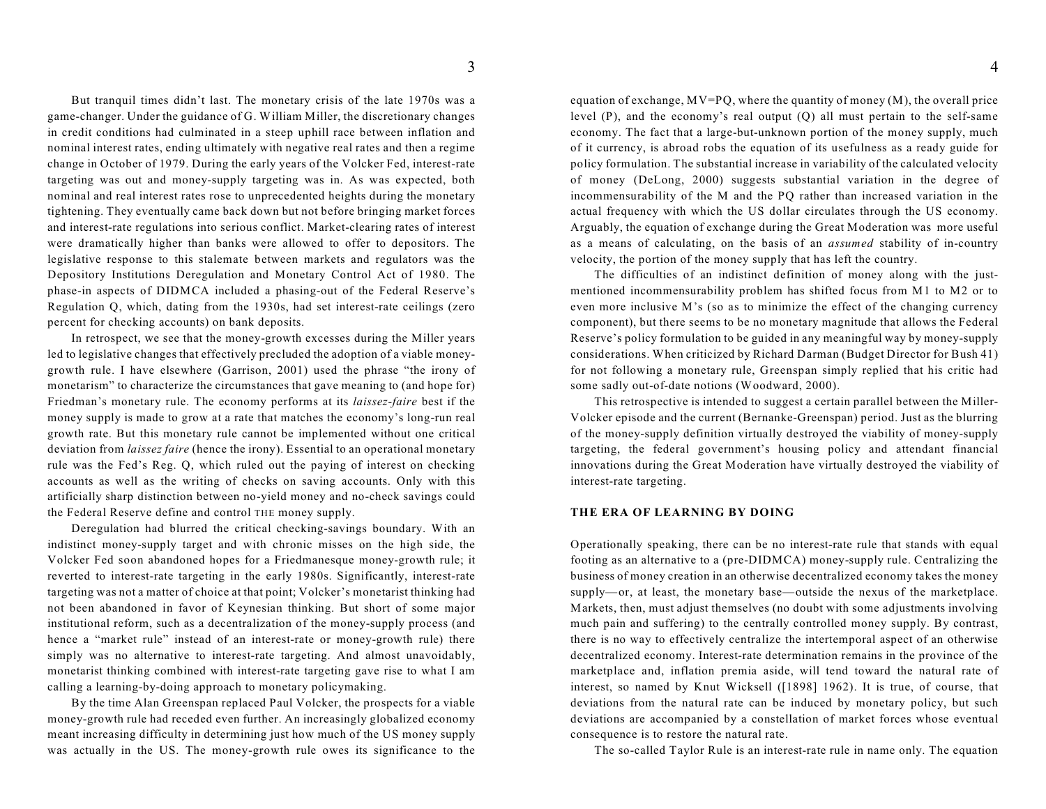But tranquil times didn't last. The monetary crisis of the late 1970s was a game-changer. Under the guidance of G. William Miller, the discretionary changes in credit conditions had culminated in a steep uphill race between inflation and nominal interest rates, ending ultimately with negative real rates and then a regime change in October of 1979. During the early years of the Volcker Fed, interest-rate targeting was out and money-supply targeting was in. As was expected, both nominal and real interest rates rose to unprecedented heights during the monetary tightening. They eventually came back down but not before bringing market forces and interest-rate regulations into serious conflict. Market-clearing rates of interest were dramatically higher than banks were allowed to offer to depositors. The legislative response to this stalemate between markets and regulators was the Depository Institutions Deregulation and Monetary Control Act of 1980. The phase-in aspects of DIDMCA included a phasing-out of the Federal Reserve's Regulation Q, which, dating from the 1930s, had set interest-rate ceilings (zero percent for checking accounts) on bank deposits.

In retrospect, we see that the money-growth excesses during the Miller years led to legislative changes that effectively precluded the adoption of a viable moneygrowth rule. I have elsewhere (Garrison, 2001) used the phrase "the irony of monetarism" to characterize the circumstances that gave meaning to (and hope for) Friedman's monetary rule. The economy performs at its *laissez-faire* best if the money supply is made to grow at a rate that matches the economy's long-run real growth rate. But this monetary rule cannot be implemented without one critical deviation from *laissez faire* (hence the irony). Essential to an operational monetary rule was the Fed's Reg. Q, which ruled out the paying of interest on checking accounts as well as the writing of checks on saving accounts. Only with this artificially sharp distinction between no-yield money and no-check savings could the Federal Reserve define and control THE money supply.

Deregulation had blurred the critical checking-savings boundary. With an indistinct money-supply target and with chronic misses on the high side, the Volcker Fed soon abandoned hopes for a Friedmanesque money-growth rule; it reverted to interest-rate targeting in the early 1980s. Significantly, interest-rate targeting was not a matter of choice at that point; Volcker's monetarist thinking had not been abandoned in favor of Keynesian thinking. But short of some major institutional reform, such as a decentralization of the money-supply process (and hence a "market rule" instead of an interest-rate or money-growth rule) there simply was no alternative to interest-rate targeting. And almost unavoidably, monetarist thinking combined with interest-rate targeting gave rise to what I am calling a learning-by-doing approach to monetary policymaking.

By the time Alan Greenspan replaced Paul Volcker, the prospects for a viable money-growth rule had receded even further. An increasingly globalized economy meant increasing difficulty in determining just how much of the US money supply was actually in the US. The money-growth rule owes its significance to the

equation of exchange,  $MV=PO$ , where the quantity of money  $(M)$ , the overall price level (P), and the economy's real output (Q) all must pertain to the self-same economy. The fact that a large-but-unknown portion of the money supply, much of it currency, is abroad robs the equation of its usefulness as a ready guide for policy formulation. The substantial increase in variability of the calculated velocity of money (DeLong, 2000) suggests substantial variation in the degree of incommensurability of the M and the PQ rather than increased variation in the actual frequency with which the US dollar circulates through the US economy. Arguably, the equation of exchange during the Great Moderation was more useful as a means of calculating, on the basis of an *assumed* stability of in-country velocity, the portion of the money supply that has left the country.

The difficulties of an indistinct definition of money along with the justmentioned incommensurability problem has shifted focus from M1 to M2 or to even more inclusive M's (so as to minimize the effect of the changing currency component), but there seems to be no monetary magnitude that allows the Federal Reserve's policy formulation to be guided in any meaningful way by money-supply considerations. When criticized by Richard Darman (Budget Director for Bush 41) for not following a monetary rule, Greenspan simply replied that his critic had some sadly out-of-date notions (Woodward, 2000).

This retrospective is intended to suggest a certain parallel between the Miller-Volcker episode and the current (Bernanke-Greenspan) period. Just as the blurring of the money-supply definition virtually destroyed the viability of money-supply targeting, the federal government's housing policy and attendant financial innovations during the Great Moderation have virtually destroyed the viability of interest-rate targeting.

### **THE ERA OF LEARNING BY DOING**

Operationally speaking, there can be no interest-rate rule that stands with equal footing as an alternative to a (pre-DIDMCA) money-supply rule. Centralizing the business of money creation in an otherwise decentralized economy takes the money supply—or, at least, the monetary base—outside the nexus of the marketplace. Markets, then, must adjust themselves (no doubt with some adjustments involving much pain and suffering) to the centrally controlled money supply. By contrast, there is no way to effectively centralize the intertemporal aspect of an otherwise decentralized economy. Interest-rate determination remains in the province of the marketplace and, inflation premia aside, will tend toward the natural rate of interest, so named by Knut Wicksell ([1898] 1962). It is true, of course, that deviations from the natural rate can be induced by monetary policy, but such deviations are accompanied by a constellation of market forces whose eventual consequence is to restore the natural rate.

The so-called Taylor Rule is an interest-rate rule in name only. The equation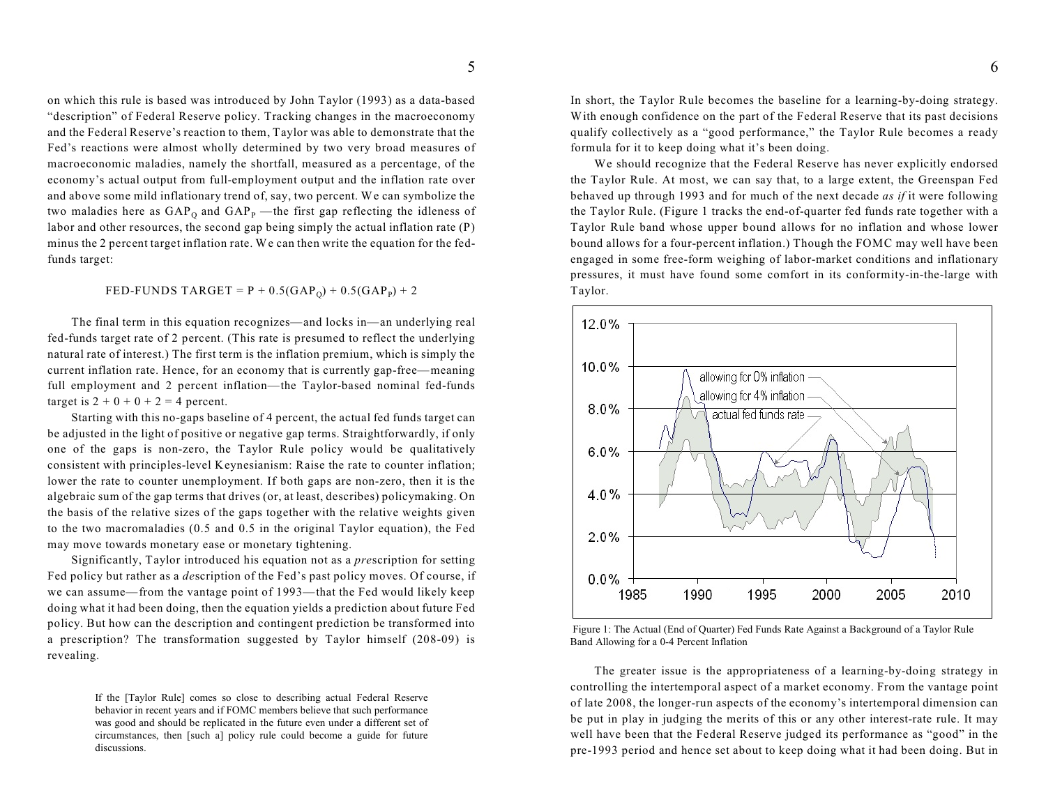on which this rule is based was introduced by John Taylor (1993) as a data-based "description" of Federal Reserve policy. Tracking changes in the macroeconomy and the Federal Reserve's reaction to them, Taylor was able to demonstrate that the Fed's reactions were almost wholly determined by two very broad measures of macroeconomic maladies, namely the shortfall, measured as a percentage, of the economy's actual output from full-employment output and the inflation rate over and above some mild inflationary trend of, say, two percent. We can symbolize the two maladies here as  $GAP_0$  and  $GAP_p$  —the first gap reflecting the idleness of labor and other resources, the second gap being simply the actual inflation rate (P) minus the 2 percent target inflation rate. We can then write the equation for the fedfunds target:

## FED-FUNDS TARGET =  $P + 0.5(GAP_0) + 0.5(GAP_P) + 2$

The final term in this equation recognizes—and locks in—an underlying real fed-funds target rate of 2 percent. (This rate is presumed to reflect the underlying natural rate of interest.) The first term is the inflation premium, which is simply the current inflation rate. Hence, for an economy that is currently gap-free—meaning full employment and 2 percent inflation—the Taylor-based nominal fed-funds target is  $2 + 0 + 0 + 2 = 4$  percent.

Starting with this no-gaps baseline of 4 percent, the actual fed funds target can be adjusted in the light of positive or negative gap terms. Straightforwardly, if only one of the gaps is non-zero, the Taylor Rule policy would be qualitatively consistent with principles-level Keynesianism: Raise the rate to counter inflation; lower the rate to counter unemployment. If both gaps are non-zero, then it is the algebraic sum of the gap terms that drives (or, at least, describes) policymaking. On the basis of the relative sizes of the gaps together with the relative weights given to the two macromaladies (0.5 and 0.5 in the original Taylor equation), the Fed may move towards monetary ease or monetary tightening.

Significantly, Taylor introduced his equation not as a *pre*scription for setting Fed policy but rather as a *de*scription of the Fed's past policy moves. Of course, if we can assume—from the vantage point of 1993—that the Fed would likely keep doing what it had been doing, then the equation yields a prediction about future Fed policy. But how can the description and contingent prediction be transformed into a prescription? The transformation suggested by Taylor himself (208-09) is revealing.

> If the [Taylor Rule] comes so close to describing actual Federal Reserve behavior in recent years and if FOMC members believe that such performance was good and should be replicated in the future even under a different set of circumstances, then [such a] policy rule could become a guide for future discussions.

In short, the Taylor Rule becomes the baseline for a learning-by-doing strategy. With enough confidence on the part of the Federal Reserve that its past decisions qualify collectively as a "good performance," the Taylor Rule becomes a ready formula for it to keep doing what it's been doing.

We should recognize that the Federal Reserve has never explicitly endorsed the Taylor Rule. At most, we can say that, to a large extent, the Greenspan Fed behaved up through 1993 and for much of the next decade *as if* it were following the Taylor Rule. (Figure 1 tracks the end-of-quarter fed funds rate together with a Taylor Rule band whose upper bound allows for no inflation and whose lower bound allows for a four-percent inflation.) Though the FOMC may well have been engaged in some free-form weighing of labor-market conditions and inflationary pressures, it must have found some comfort in its conformity-in-the-large with Taylor.



 Figure 1: The Actual (End of Quarter) Fed Funds Rate Against a Background of a Taylor Rule Band Allowing for a 0-4 Percent Inflation

The greater issue is the appropriateness of a learning-by-doing strategy in controlling the intertemporal aspect of a market economy. From the vantage point of late 2008, the longer-run aspects of the economy's intertemporal dimension can be put in play in judging the merits of this or any other interest-rate rule. It may well have been that the Federal Reserve judged its performance as "good" in the pre-1993 period and hence set about to keep doing what it had been doing. But in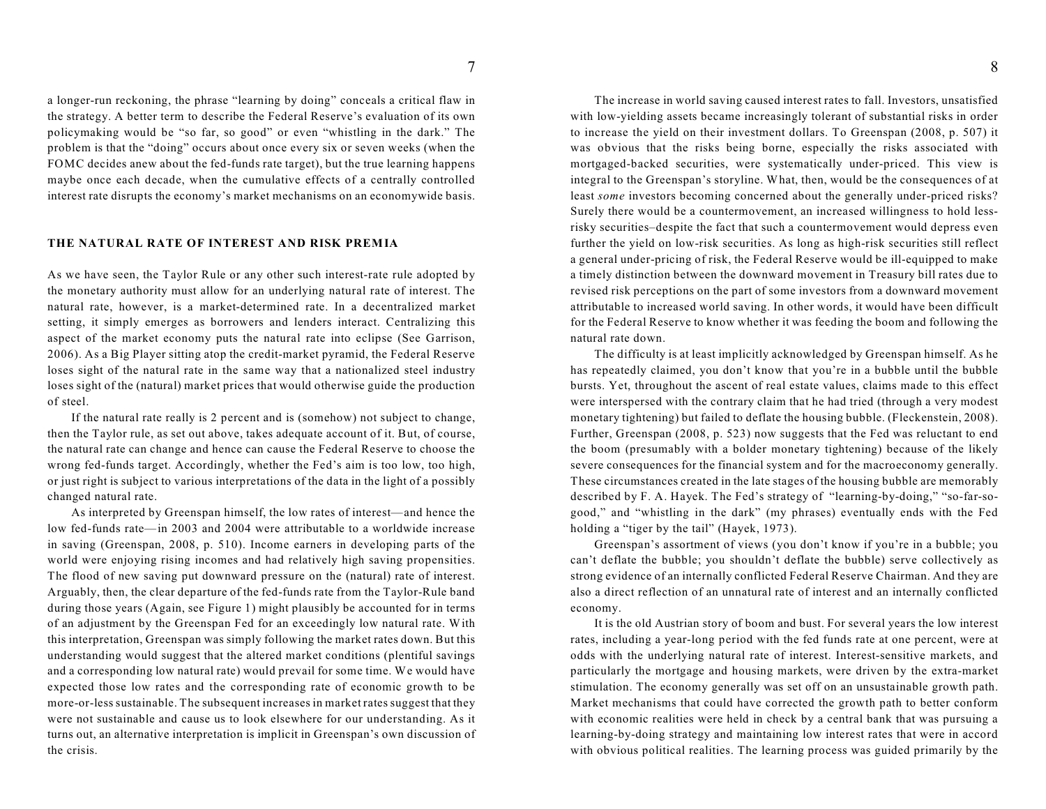a longer-run reckoning, the phrase "learning by doing" conceals a critical flaw in the strategy. A better term to describe the Federal Reserve's evaluation of its own policymaking would be "so far, so good" or even "whistling in the dark." The problem is that the "doing" occurs about once every six or seven weeks (when the FOMC decides anew about the fed-funds rate target), but the true learning happens maybe once each decade, when the cumulative effects of a centrally controlled interest rate disrupts the economy's market mechanisms on an economywide basis.

#### **THE NATURAL RATE OF INTEREST AND RISK PREMIA**

As we have seen, the Taylor Rule or any other such interest-rate rule adopted by the monetary authority must allow for an underlying natural rate of interest. The natural rate, however, is a market-determined rate. In a decentralized market setting, it simply emerges as borrowers and lenders interact. Centralizing this aspect of the market economy puts the natural rate into eclipse (See Garrison, 2006). As a Big Player sitting atop the credit-market pyramid, the Federal Reserve loses sight of the natural rate in the same way that a nationalized steel industry loses sight of the (natural) market prices that would otherwise guide the production of steel.

If the natural rate really is 2 percent and is (somehow) not subject to change, then the Taylor rule, as set out above, takes adequate account of it. But, of course, the natural rate can change and hence can cause the Federal Reserve to choose the wrong fed-funds target. Accordingly, whether the Fed's aim is too low, too high, or just right is subject to various interpretations of the data in the light of a possibly changed natural rate.

As interpreted by Greenspan himself, the low rates of interest—and hence the low fed-funds rate—in 2003 and 2004 were attributable to a worldwide increase in saving (Greenspan, 2008, p. 510). Income earners in developing parts of the world were enjoying rising incomes and had relatively high saving propensities. The flood of new saving put downward pressure on the (natural) rate of interest. Arguably, then, the clear departure of the fed-funds rate from the Taylor-Rule band during those years (Again, see Figure 1) might plausibly be accounted for in terms of an adjustment by the Greenspan Fed for an exceedingly low natural rate. With this interpretation, Greenspan was simply following the market rates down. But this understanding would suggest that the altered market conditions (plentiful savings and a corresponding low natural rate) would prevail for some time. We would have expected those low rates and the corresponding rate of economic growth to be more-or-less sustainable. The subsequent increases in market rates suggest that they were not sustainable and cause us to look elsewhere for our understanding. As it turns out, an alternative interpretation is implicit in Greenspan's own discussion of the crisis.

8

The increase in world saving caused interest rates to fall. Investors, unsatisfied with low-yielding assets became increasingly tolerant of substantial risks in order to increase the yield on their investment dollars. To Greenspan (2008, p. 507) it was obvious that the risks being borne, especially the risks associated with mortgaged-backed securities, were systematically under-priced. This view is integral to the Greenspan's storyline. What, then, would be the consequences of at least *some* investors becoming concerned about the generally under-priced risks? Surely there would be a countermovement, an increased willingness to hold lessrisky securities–despite the fact that such a countermovement would depress even further the yield on low-risk securities. As long as high-risk securities still reflect a general under-pricing of risk, the Federal Reserve would be ill-equipped to make a timely distinction between the downward movement in Treasury bill rates due to revised risk perceptions on the part of some investors from a downward movement attributable to increased world saving. In other words, it would have been difficult for the Federal Reserve to know whether it was feeding the boom and following the natural rate down.

The difficulty is at least implicitly acknowledged by Greenspan himself. As he has repeatedly claimed, you don't know that you're in a bubble until the bubble bursts. Yet, throughout the ascent of real estate values, claims made to this effect were interspersed with the contrary claim that he had tried (through a very modest monetary tightening) but failed to deflate the housing bubble. (Fleckenstein, 2008). Further, Greenspan (2008, p. 523) now suggests that the Fed was reluctant to end the boom (presumably with a bolder monetary tightening) because of the likely severe consequences for the financial system and for the macroeconomy generally. These circumstances created in the late stages of the housing bubble are memorably described by F. A. Hayek. The Fed's strategy of "learning-by-doing," "so-far-sogood," and "whistling in the dark" (my phrases) eventually ends with the Fed holding a "tiger by the tail" (Hayek, 1973).

Greenspan's assortment of views (you don't know if you're in a bubble; you can't deflate the bubble; you shouldn't deflate the bubble) serve collectively as strong evidence of an internally conflicted Federal Reserve Chairman. And they are also a direct reflection of an unnatural rate of interest and an internally conflicted economy.

It is the old Austrian story of boom and bust. For several years the low interest rates, including a year-long period with the fed funds rate at one percent, were at odds with the underlying natural rate of interest. Interest-sensitive markets, and particularly the mortgage and housing markets, were driven by the extra-market stimulation. The economy generally was set off on an unsustainable growth path. Market mechanisms that could have corrected the growth path to better conform with economic realities were held in check by a central bank that was pursuing a learning-by-doing strategy and maintaining low interest rates that were in accord with obvious political realities. The learning process was guided primarily by the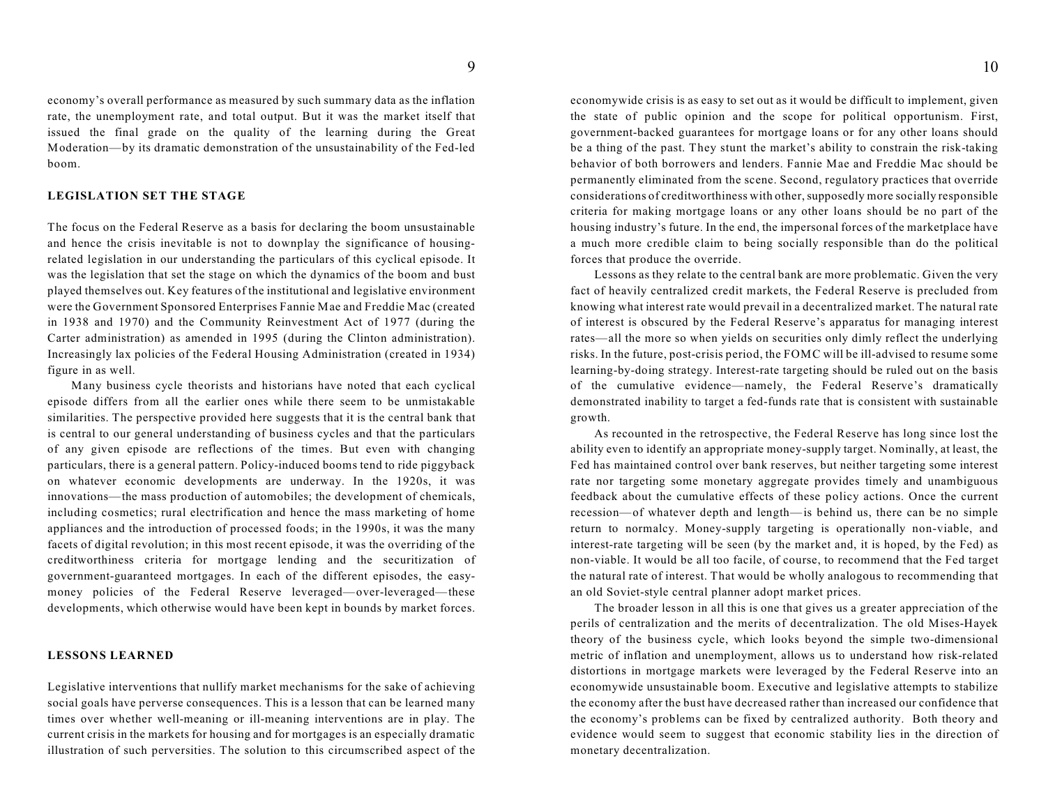economy's overall performance as measured by such summary data as the inflation rate, the unemployment rate, and total output. But it was the market itself that issued the final grade on the quality of the learning during the Great Moderation—by its dramatic demonstration of the unsustainability of the Fed-led boom.

## **LEGISLATION SET THE STAGE**

The focus on the Federal Reserve as a basis for declaring the boom unsustainable and hence the crisis inevitable is not to downplay the significance of housingrelated legislation in our understanding the particulars of this cyclical episode. It was the legislation that set the stage on which the dynamics of the boom and bust played themselves out. Key features of the institutional and legislative environment were the Government Sponsored Enterprises Fannie Mae and Freddie Mac (created in 1938 and 1970) and the Community Reinvestment Act of 1977 (during the Carter administration) as amended in 1995 (during the Clinton administration). Increasingly lax policies of the Federal Housing Administration (created in 1934) figure in as well.

Many business cycle theorists and historians have noted that each cyclical episode differs from all the earlier ones while there seem to be unmistakable similarities. The perspective provided here suggests that it is the central bank that is central to our general understanding of business cycles and that the particulars of any given episode are reflections of the times. But even with changing particulars, there is a general pattern. Policy-induced booms tend to ride piggyback on whatever economic developments are underway. In the 1920s, it was innovations—the mass production of automobiles; the development of chemicals, including cosmetics; rural electrification and hence the mass marketing of home appliances and the introduction of processed foods; in the 1990s, it was the many facets of digital revolution; in this most recent episode, it was the overriding of the creditworthiness criteria for mortgage lending and the securitization of government-guaranteed mortgages. In each of the different episodes, the easymoney policies of the Federal Reserve leveraged—over-leveraged—these developments, which otherwise would have been kept in bounds by market forces.

## **LESSONS LEARNED**

Legislative interventions that nullify market mechanisms for the sake of achieving social goals have perverse consequences. This is a lesson that can be learned many times over whether well-meaning or ill-meaning interventions are in play. The current crisis in the markets for housing and for mortgages is an especially dramatic illustration of such perversities. The solution to this circumscribed aspect of the

economywide crisis is as easy to set out as it would be difficult to implement, given the state of public opinion and the scope for political opportunism. First, government-backed guarantees for mortgage loans or for any other loans should be a thing of the past. They stunt the market's ability to constrain the risk-taking behavior of both borrowers and lenders. Fannie Mae and Freddie Mac should be permanently eliminated from the scene. Second, regulatory practices that override considerations of creditworthiness with other, supposedly more socially responsible criteria for making mortgage loans or any other loans should be no part of the housing industry's future. In the end, the impersonal forces of the marketplace have a much more credible claim to being socially responsible than do the political forces that produce the override.

Lessons as they relate to the central bank are more problematic. Given the very fact of heavily centralized credit markets, the Federal Reserve is precluded from knowing what interest rate would prevail in a decentralized market. The natural rate of interest is obscured by the Federal Reserve's apparatus for managing interest rates—all the more so when yields on securities only dimly reflect the underlying risks. In the future, post-crisis period, the FOMC will be ill-advised to resume some learning-by-doing strategy. Interest-rate targeting should be ruled out on the basis of the cumulative evidence—namely, the Federal Reserve's dramatically demonstrated inability to target a fed-funds rate that is consistent with sustainable growth.

As recounted in the retrospective, the Federal Reserve has long since lost the ability even to identify an appropriate money-supply target. Nominally, at least, the Fed has maintained control over bank reserves, but neither targeting some interest rate nor targeting some monetary aggregate provides timely and unambiguous feedback about the cumulative effects of these policy actions. Once the current recession—of whatever depth and length—is behind us, there can be no simple return to normalcy. Money-supply targeting is operationally non-viable, and interest-rate targeting will be seen (by the market and, it is hoped, by the Fed) as non-viable. It would be all too facile, of course, to recommend that the Fed target the natural rate of interest. That would be wholly analogous to recommending that an old Soviet-style central planner adopt market prices.

The broader lesson in all this is one that gives us a greater appreciation of the perils of centralization and the merits of decentralization. The old Mises-Hayek theory of the business cycle, which looks beyond the simple two-dimensional metric of inflation and unemployment, allows us to understand how risk-related distortions in mortgage markets were leveraged by the Federal Reserve into an economywide unsustainable boom. Executive and legislative attempts to stabilize the economy after the bust have decreased rather than increased our confidence that the economy's problems can be fixed by centralized authority. Both theory and evidence would seem to suggest that economic stability lies in the direction of monetary decentralization.